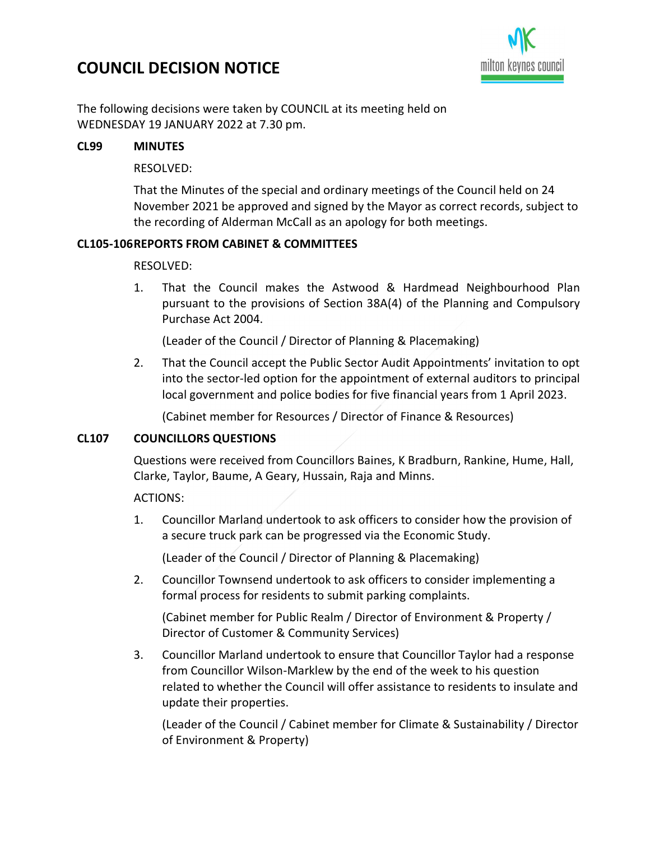# COUNCIL DECISION NOTICE



The following decisions were taken by COUNCIL at its meeting held on WEDNESDAY 19 JANUARY 2022 at 7.30 pm.

## CL99 MINUTES

## RESOLVED:

That the Minutes of the special and ordinary meetings of the Council held on 24 November 2021 be approved and signed by the Mayor as correct records, subject to the recording of Alderman McCall as an apology for both meetings.

## CL105-106 REPORTS FROM CABINET & COMMITTEES

## RESOLVED:

1. That the Council makes the Astwood & Hardmead Neighbourhood Plan pursuant to the provisions of Section 38A(4) of the Planning and Compulsory Purchase Act 2004.

(Leader of the Council / Director of Planning & Placemaking)

2. That the Council accept the Public Sector Audit Appointments' invitation to opt into the sector-led option for the appointment of external auditors to principal local government and police bodies for five financial years from 1 April 2023.

(Cabinet member for Resources / Director of Finance & Resources)

#### CL107 COUNCILLORS QUESTIONS

Questions were received from Councillors Baines, K Bradburn, Rankine, Hume, Hall, Clarke, Taylor, Baume, A Geary, Hussain, Raja and Minns.

ACTIONS:

1. Councillor Marland undertook to ask officers to consider how the provision of a secure truck park can be progressed via the Economic Study.

(Leader of the Council / Director of Planning & Placemaking)

2. Councillor Townsend undertook to ask officers to consider implementing a formal process for residents to submit parking complaints.

(Cabinet member for Public Realm / Director of Environment & Property / Director of Customer & Community Services)

3. Councillor Marland undertook to ensure that Councillor Taylor had a response from Councillor Wilson-Marklew by the end of the week to his question related to whether the Council will offer assistance to residents to insulate and update their properties.

(Leader of the Council / Cabinet member for Climate & Sustainability / Director of Environment & Property)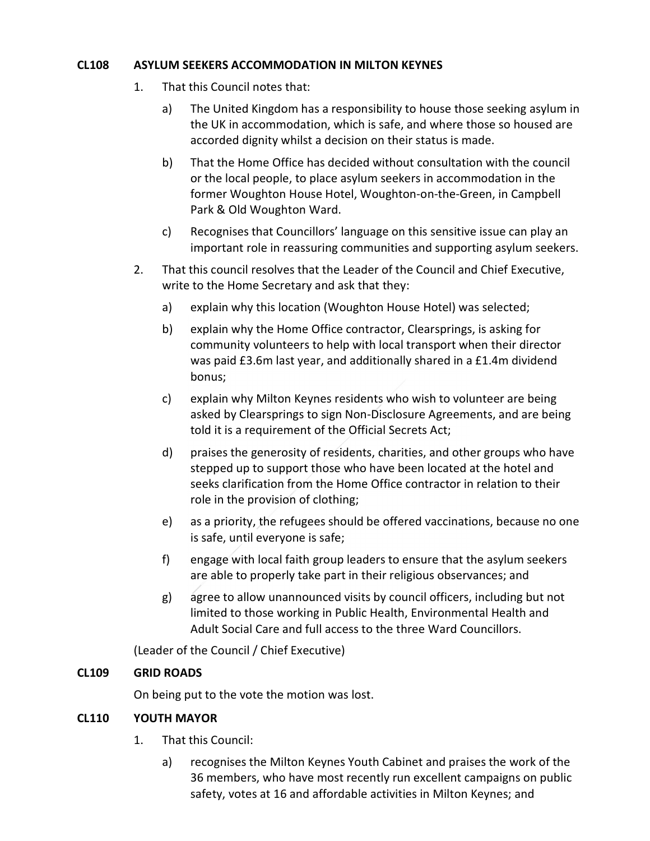## CL108 ASYLUM SEEKERS ACCOMMODATION IN MILTON KEYNES

- 1. That this Council notes that:
	- a) The United Kingdom has a responsibility to house those seeking asylum in the UK in accommodation, which is safe, and where those so housed are accorded dignity whilst a decision on their status is made.
	- b) That the Home Office has decided without consultation with the council or the local people, to place asylum seekers in accommodation in the former Woughton House Hotel, Woughton-on-the-Green, in Campbell Park & Old Woughton Ward.
	- c) Recognises that Councillors' language on this sensitive issue can play an important role in reassuring communities and supporting asylum seekers.
- 2. That this council resolves that the Leader of the Council and Chief Executive, write to the Home Secretary and ask that they:
	- a) explain why this location (Woughton House Hotel) was selected;
	- b) explain why the Home Office contractor, Clearsprings, is asking for community volunteers to help with local transport when their director was paid £3.6m last year, and additionally shared in a £1.4m dividend bonus;
	- c) explain why Milton Keynes residents who wish to volunteer are being asked by Clearsprings to sign Non-Disclosure Agreements, and are being told it is a requirement of the Official Secrets Act;
	- d) praises the generosity of residents, charities, and other groups who have stepped up to support those who have been located at the hotel and seeks clarification from the Home Office contractor in relation to their role in the provision of clothing;
	- e) as a priority, the refugees should be offered vaccinations, because no one is safe, until everyone is safe;
	- f) engage with local faith group leaders to ensure that the asylum seekers are able to properly take part in their religious observances; and
	- g) agree to allow unannounced visits by council officers, including but not limited to those working in Public Health, Environmental Health and Adult Social Care and full access to the three Ward Councillors.

(Leader of the Council / Chief Executive)

## CL109 GRID ROADS

On being put to the vote the motion was lost.

## CL110 YOUTH MAYOR

- 1. That this Council:
	- a) recognises the Milton Keynes Youth Cabinet and praises the work of the 36 members, who have most recently run excellent campaigns on public safety, votes at 16 and affordable activities in Milton Keynes; and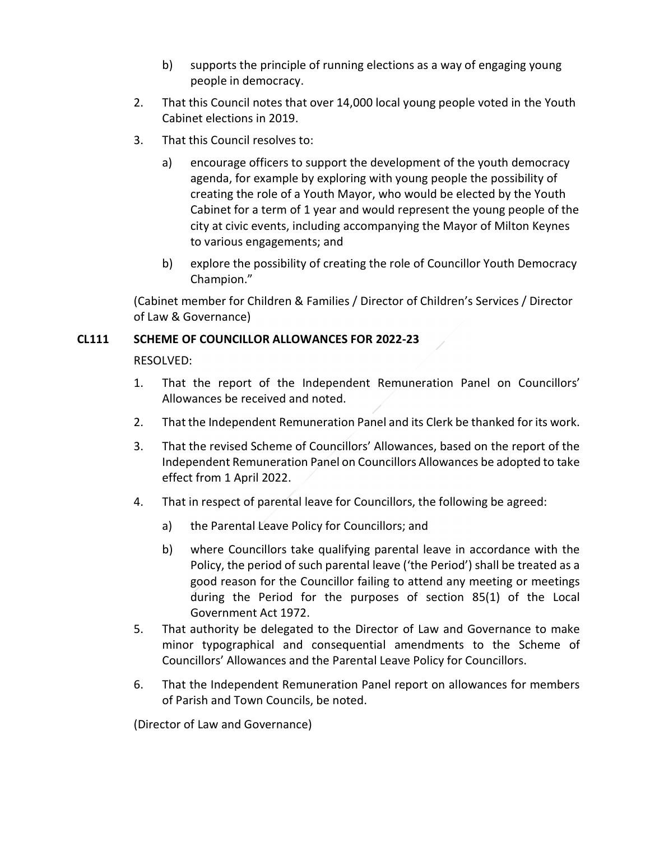- b) supports the principle of running elections as a way of engaging young people in democracy.
- 2. That this Council notes that over 14,000 local young people voted in the Youth Cabinet elections in 2019.
- 3. That this Council resolves to:
	- a) encourage officers to support the development of the youth democracy agenda, for example by exploring with young people the possibility of creating the role of a Youth Mayor, who would be elected by the Youth Cabinet for a term of 1 year and would represent the young people of the city at civic events, including accompanying the Mayor of Milton Keynes to various engagements; and
	- b) explore the possibility of creating the role of Councillor Youth Democracy Champion."

(Cabinet member for Children & Families / Director of Children's Services / Director of Law & Governance)

## CL111 SCHEME OF COUNCILLOR ALLOWANCES FOR 2022-23

RESOLVED:

- 1. That the report of the Independent Remuneration Panel on Councillors' Allowances be received and noted.
- 2. That the Independent Remuneration Panel and its Clerk be thanked for its work.
- 3. That the revised Scheme of Councillors' Allowances, based on the report of the Independent Remuneration Panel on Councillors Allowances be adopted to take effect from 1 April 2022.
- 4. That in respect of parental leave for Councillors, the following be agreed:
	- a) the Parental Leave Policy for Councillors; and
	- b) where Councillors take qualifying parental leave in accordance with the Policy, the period of such parental leave ('the Period') shall be treated as a good reason for the Councillor failing to attend any meeting or meetings during the Period for the purposes of section 85(1) of the Local Government Act 1972.
- 5. That authority be delegated to the Director of Law and Governance to make minor typographical and consequential amendments to the Scheme of Councillors' Allowances and the Parental Leave Policy for Councillors.
- 6. That the Independent Remuneration Panel report on allowances for members of Parish and Town Councils, be noted.

(Director of Law and Governance)